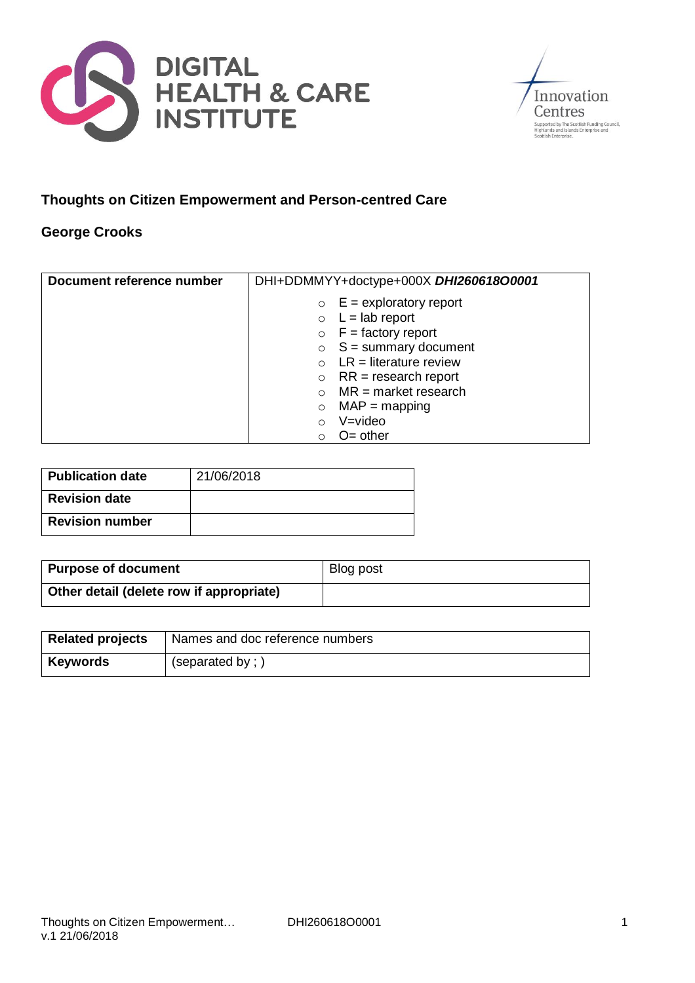



## **Thoughts on Citizen Empowerment and Person-centred Care**

## **George Crooks**

| Document reference number | DHI+DDMMYY+doctype+000X DHI260618O0001 |
|---------------------------|----------------------------------------|
|                           | $E =$ exploratory report<br>$\circ$    |
|                           | $\circ$ L = lab report                 |
|                           | $\circ$ F = factory report             |
|                           | $\circ$ S = summary document           |
|                           | $LR = literature$ review               |
|                           | $RR = research report$<br>$\circ$      |
|                           | $MR = market research$                 |
|                           | $MAP = mapping$<br>$\circ$             |
|                           | V=video<br>$\Omega$                    |
|                           | $O=$ other<br>∩                        |

| <b>Publication date</b> | 21/06/2018 |
|-------------------------|------------|
| <b>Revision date</b>    |            |
| <b>Revision number</b>  |            |

| <b>Purpose of document</b>               | Blog post |
|------------------------------------------|-----------|
| Other detail (delete row if appropriate) |           |

| <b>Related projects</b> | Names and doc reference numbers |
|-------------------------|---------------------------------|
| Keywords                | (separated by;)                 |